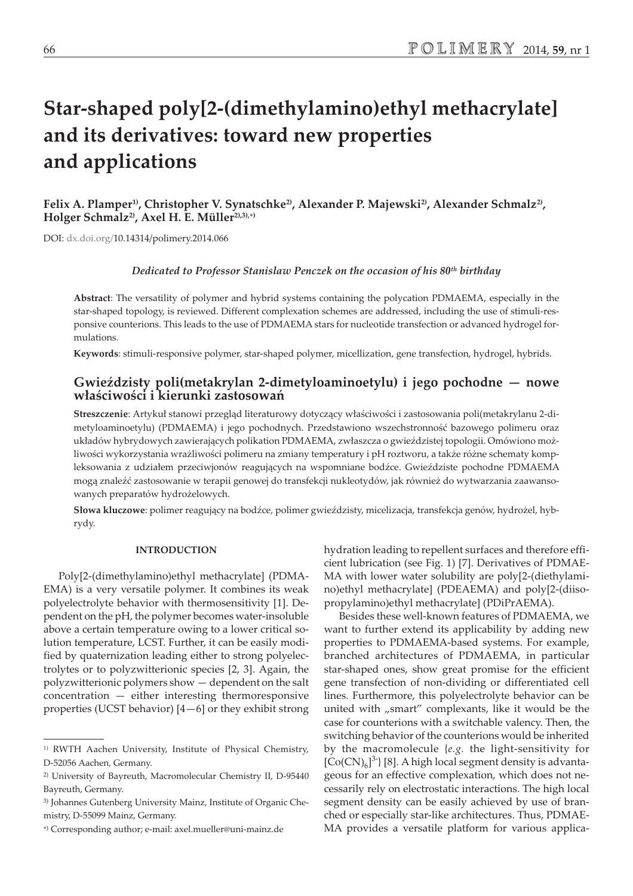# **Star-shaped poly[2-(dimethylamino)ethyl methacrylate] and its derivatives: toward new properties and applications**

Felix A. Plamper<sup>1)</sup>, Christopher V. Synatschke<sup>2)</sup>, Alexander P. Majewski<sup>2</sup>), Alexander Schmalz<sup>2</sup>), **Holger Schmalz2), Axel H. E. Müller2),3),-)**

DOI: dx.doi.org/10.14314/polimery.2014.066

#### *Dedicated to Professor Stanislaw Penczek on the occasion of his 80th birthday*

**Abstract**: The versatility of polymer and hybrid systems containing the polycation PDMAEMA, especially in the star-shaped topology, is reviewed. Different complexation schemes are addressed, including the use of stimuli-responsive counterions. This leads to the use of PDMAEMA stars for nucleotide transfection or advanced hydrogel formulations.

**Keywords**: stimuli-responsive polymer, star-shaped polymer, micellization, gene transfection, hydrogel, hybrids.

## Gwieździsty poli(metakrylan 2-dimetyloaminoetylu) i jego pochodne — nowe **w³aœciwoœci i kierunki zastosowañ**

Streszczenie: Artykuł stanowi przegląd literaturowy dotyczący właściwości i zastosowania poli(metakrylanu 2-dimetyloaminoetylu) (PDMAEMA) i jego pochodnych. Przedstawiono wszechstronność bazowego polimeru oraz układów hybrydowych zawierających polikation PDMAEMA, zwłaszcza o gwieździstej topologii. Omówiono możliwości wykorzystania wrażliwości polimeru na zmiany temperatury i pH roztworu, a także różne schematy kompleksowania z udziałem przeciwjonów reagujących na wspomniane bodźce. Gwieździste pochodne PDMAEMA mogą znaleźć zastosowanie w terapii genowej do transfekcji nukleotydów, jak również do wytwarzania zaawansowanych preparatów hydrożelowych.

Słowa kluczowe: polimer reagujący na bodźce, polimer gwieździsty, micelizacja, transfekcja genów, hydrożel, hybrydy.

#### **INTRODUCTION**

Poly[2-(dimethylamino)ethyl methacrylate] (PDMA-EMA) is a very versatile polymer. It combines its weak polyelectrolyte behavior with thermosensitivity [1]. Dependent on the pH, the polymer becomes water-insoluble above a certain temperature owing to a lower critical solution temperature, LCST. Further, it can be easily modified by quaternization leading either to strong polyelectrolytes or to polyzwitterionic species [2, 3]. Again, the polyzwitterionic polymers show — dependent on the salt concentration — either interesting thermoresponsive properties (UCST behavior) [4—6] or they exhibit strong hydration leading to repellent surfaces and therefore efficient lubrication (see Fig. 1) [7]. Derivatives of PDMAE-MA with lower water solubility are poly[2-(diethylamino)ethyl methacrylate] (PDEAEMA) and poly[2-(diisopropylamino)ethyl methacrylate] (PDiPrAEMA).

Besides these well-known features of PDMAEMA, we want to further extend its applicability by adding new properties to PDMAEMA-based systems. For example, branched architectures of PDMAEMA, in particular star-shaped ones, show great promise for the efficient gene transfection of non-dividing or differentiated cell lines. Furthermore, this polyelectrolyte behavior can be united with "smart" complexants, like it would be the case for counterions with a switchable valency. Then, the switching behavior of the counterions would be inherited by the macromolecule {*e.g.* the light-sensitivity for  $[Co(CN)<sub>6</sub>]$ <sup>3-</sup> $[8]$ . A high local segment density is advantageous for an effective complexation, which does not necessarily rely on electrostatic interactions. The high local segment density can be easily achieved by use of branched or especially star-like architectures. Thus, PDMAE-MA provides a versatile platform for various applica-

<sup>1)</sup> RWTH Aachen University, Institute of Physical Chemistry, D-52056 Aachen, Germany.

<sup>2)</sup> University of Bayreuth, Macromolecular Chemistry II, D-95440 Bayreuth, Germany.

<sup>3)</sup> Johannes Gutenberg University Mainz, Institute of Organic Chemistry, D-55099 Mainz, Germany.

<sup>-</sup>) Corresponding author; e-mail: axel.mueller@uni-mainz.de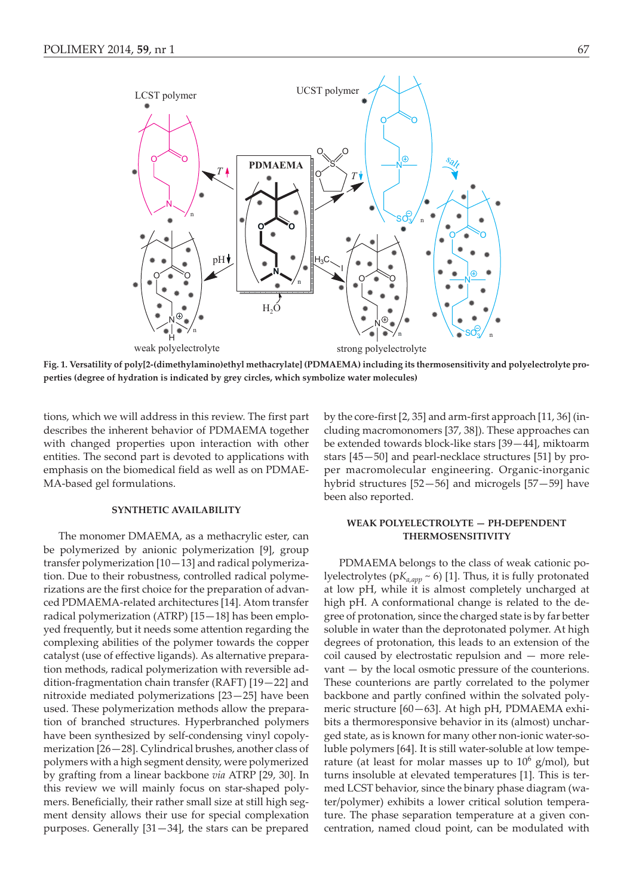

**Fig. 1. Versatility of poly[2-(dimethylamino)ethyl methacrylate] (PDMAEMA) including its thermosensitivity and polyelectrolyte properties (degree of hydration is indicated by grey circles, which symbolize water molecules)**

tions, which we will address in this review. The first part describes the inherent behavior of PDMAEMA together with changed properties upon interaction with other entities. The second part is devoted to applications with emphasis on the biomedical field as well as on PDMAE-MA-based gel formulations.

## **SYNTHETIC AVAILABILITY**

The monomer DMAEMA, as a methacrylic ester, can be polymerized by anionic polymerization [9], group transfer polymerization [10—13] and radical polymerization. Due to their robustness, controlled radical polymerizations are the first choice for the preparation of advanced PDMAEMA-related architectures [14]. Atom transfer radical polymerization (ATRP) [15—18] has been employed frequently, but it needs some attention regarding the complexing abilities of the polymer towards the copper catalyst (use of effective ligands). As alternative preparation methods, radical polymerization with reversible addition-fragmentation chain transfer (RAFT) [19—22] and nitroxide mediated polymerizations [23—25] have been used. These polymerization methods allow the preparation of branched structures. Hyperbranched polymers have been synthesized by self-condensing vinyl copolymerization [26—28]. Cylindrical brushes, another class of polymers with a high segment density, were polymerized by grafting from a linear backbone *via* ATRP [29, 30]. In this review we will mainly focus on star-shaped polymers. Beneficially, their rather small size at still high segment density allows their use for special complexation purposes. Generally [31—34], the stars can be prepared

by the core-first [2, 35] and arm-first approach [11, 36] (including macromonomers [37, 38]). These approaches can be extended towards block-like stars [39—44], miktoarm stars [45—50] and pearl-necklace structures [51] by proper macromolecular engineering. Organic-inorganic hybrid structures [52—56] and microgels [57—59] have been also reported.

## **WEAK POLYELECTROLYTE — PH-DEPENDENT THERMOSENSITIVITY**

PDMAEMA belongs to the class of weak cationic polyelectrolytes (pK<sub>a,app</sub> ~ 6) [1]. Thus, it is fully protonated at low pH, while it is almost completely uncharged at high pH. A conformational change is related to the degree of protonation, since the charged state is by far better soluble in water than the deprotonated polymer. At high degrees of protonation, this leads to an extension of the coil caused by electrostatic repulsion and — more relevant — by the local osmotic pressure of the counterions. These counterions are partly correlated to the polymer backbone and partly confined within the solvated polymeric structure [60—63]. At high pH, PDMAEMA exhibits a thermoresponsive behavior in its (almost) uncharged state, as is known for many other non-ionic water-soluble polymers [64]. It is still water-soluble at low temperature (at least for molar masses up to  $10^6$  g/mol), but turns insoluble at elevated temperatures [1]. This is termed LCST behavior, since the binary phase diagram (water/polymer) exhibits a lower critical solution temperature. The phase separation temperature at a given concentration, named cloud point, can be modulated with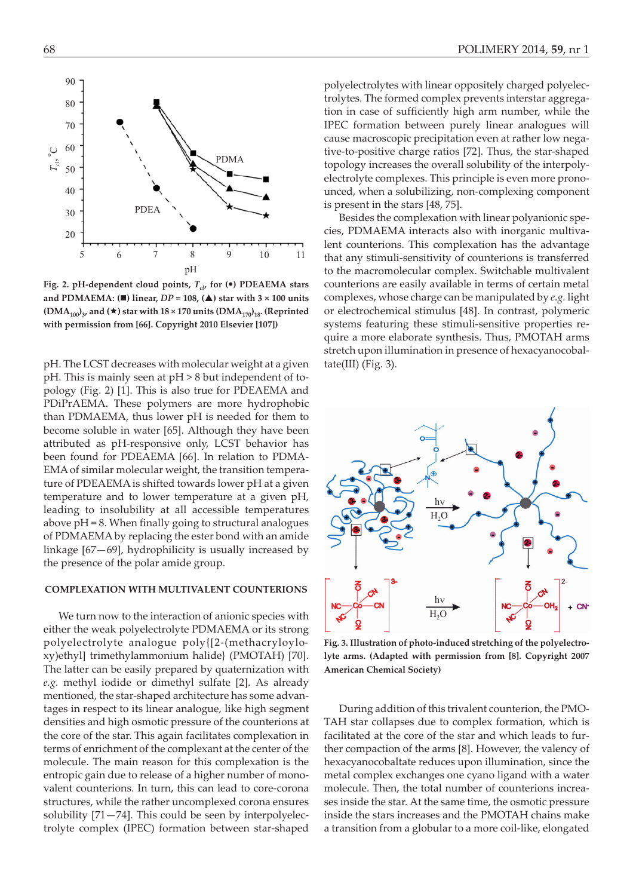

Fig. 2. pH-dependent cloud points,  $T_{c}$ , for ( $\bullet$ ) PDEAEMA stars **and PDMAEMA: (-) linear,** *DP* **= 108, (-) star with 3 × 100 units**  $(DMA_{100})_3$ , and  $(\star)$  star with  $18 \times 170$  units  $(DMA_{170})_{18}$ . (Reprinted **with permission from [66]. Copyright 2010 Elsevier [107])**

pH. The LCST decreases with molecular weight at a given pH. This is mainly seen at pH > 8 but independent of topology (Fig. 2) [1]. This is also true for PDEAEMA and PDiPrAEMA. These polymers are more hydrophobic than PDMAEMA, thus lower pH is needed for them to become soluble in water [65]. Although they have been attributed as pH-responsive only, LCST behavior has been found for PDEAEMA [66]. In relation to PDMA-EMA of similar molecular weight, the transition temperature of PDEAEMA is shifted towards lower pH at a given temperature and to lower temperature at a given pH, leading to insolubility at all accessible temperatures above  $pH = 8$ . When finally going to structural analogues of PDMAEMA by replacing the ester bond with an amide linkage [67—69], hydrophilicity is usually increased by the presence of the polar amide group.

## **COMPLEXATION WITH MULTIVALENT COUNTERIONS**

We turn now to the interaction of anionic species with either the weak polyelectrolyte PDMAEMA or its strong polyelectrolyte analogue poly{[2-(methacryloyloxy)ethyl] trimethylammonium halide} (PMOTAH) [70]. The latter can be easily prepared by quaternization with *e.g.* methyl iodide or dimethyl sulfate [2]. As already mentioned, the star-shaped architecture has some advantages in respect to its linear analogue, like high segment densities and high osmotic pressure of the counterions at the core of the star. This again facilitates complexation in terms of enrichment of the complexant at the center of the molecule. The main reason for this complexation is the entropic gain due to release of a higher number of monovalent counterions. In turn, this can lead to core-corona structures, while the rather uncomplexed corona ensures solubility [71—74]. This could be seen by interpolyelectrolyte complex (IPEC) formation between star-shaped polyelectrolytes with linear oppositely charged polyelectrolytes. The formed complex prevents interstar aggregation in case of sufficiently high arm number, while the IPEC formation between purely linear analogues will cause macroscopic precipitation even at rather low negative-to-positive charge ratios [72]. Thus, the star-shaped topology increases the overall solubility of the interpolyelectrolyte complexes. This principle is even more pronounced, when a solubilizing, non-complexing component is present in the stars [48, 75].

Besides the complexation with linear polyanionic species, PDMAEMA interacts also with inorganic multivalent counterions. This complexation has the advantage that any stimuli-sensitivity of counterions is transferred to the macromolecular complex. Switchable multivalent counterions are easily available in terms of certain metal complexes, whose charge can be manipulated by *e.g.* light or electrochemical stimulus [48]. In contrast, polymeric systems featuring these stimuli-sensitive properties require a more elaborate synthesis. Thus, PMOTAH arms stretch upon illumination in presence of hexacyanocobaltate(III) (Fig. 3).



**Fig. 3. Illustration of photo-induced stretching of the polyelectrolyte arms. (Adapted with permission from [8]. Copyright 2007 American Chemical Society)**

During addition of this trivalent counterion, the PMO-TAH star collapses due to complex formation, which is facilitated at the core of the star and which leads to further compaction of the arms [8]. However, the valency of hexacyanocobaltate reduces upon illumination, since the metal complex exchanges one cyano ligand with a water molecule. Then, the total number of counterions increases inside the star. At the same time, the osmotic pressure inside the stars increases and the PMOTAH chains make a transition from a globular to a more coil-like, elongated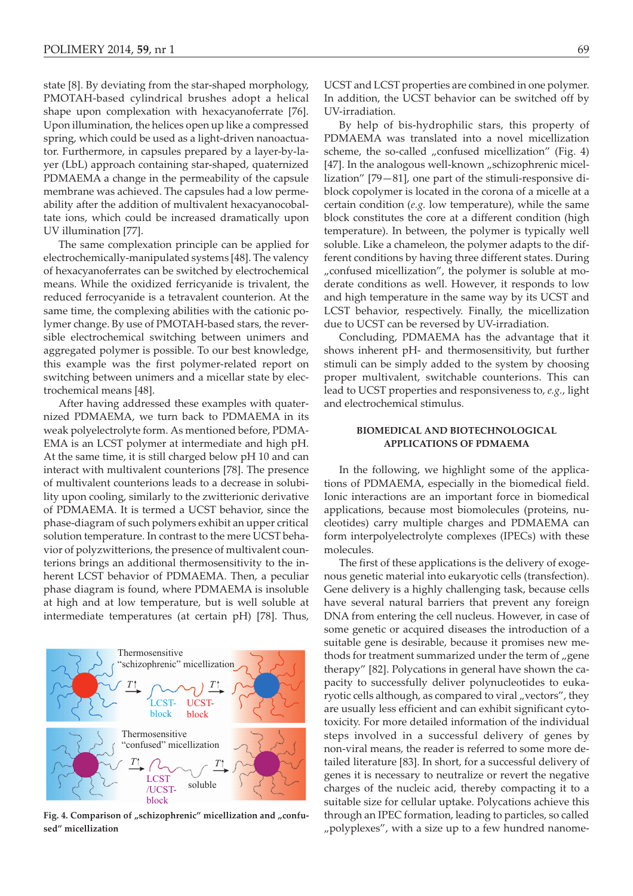state [8]. By deviating from the star-shaped morphology, PMOTAH-based cylindrical brushes adopt a helical shape upon complexation with hexacyanoferrate [76]. Upon illumination, the helices open up like a compressed spring, which could be used as a light-driven nanoactuator. Furthermore, in capsules prepared by a layer-by-layer (LbL) approach containing star-shaped, quaternized PDMAEMA a change in the permeability of the capsule membrane was achieved. The capsules had a low permeability after the addition of multivalent hexacyanocobaltate ions, which could be increased dramatically upon UV illumination [77].

The same complexation principle can be applied for electrochemically-manipulated systems [48]. The valency of hexacyanoferrates can be switched by electrochemical means. While the oxidized ferricyanide is trivalent, the reduced ferrocyanide is a tetravalent counterion. At the same time, the complexing abilities with the cationic polymer change. By use of PMOTAH-based stars, the reversible electrochemical switching between unimers and aggregated polymer is possible. To our best knowledge, this example was the first polymer-related report on switching between unimers and a micellar state by electrochemical means [48].

After having addressed these examples with quaternized PDMAEMA, we turn back to PDMAEMA in its weak polyelectrolyte form. As mentioned before, PDMA-EMA is an LCST polymer at intermediate and high pH. At the same time, it is still charged below pH 10 and can interact with multivalent counterions [78]. The presence of multivalent counterions leads to a decrease in solubility upon cooling, similarly to the zwitterionic derivative of PDMAEMA. It is termed a UCST behavior, since the phase-diagram of such polymers exhibit an upper critical solution temperature. In contrast to the mere UCST behavior of polyzwitterions, the presence of multivalent counterions brings an additional thermosensitivity to the inherent LCST behavior of PDMAEMA. Then, a peculiar phase diagram is found, where PDMAEMA is insoluble at high and at low temperature, but is well soluble at intermediate temperatures (at certain pH) [78]. Thus,



Fig. 4. Comparison of "schizophrenic" micellization and "confu**sed" micellization**

UCST and LCST properties are combined in one polymer. In addition, the UCST behavior can be switched off by UV-irradiation.

By help of bis-hydrophilic stars, this property of PDMAEMA was translated into a novel micellization scheme, the so-called  $\mu$  confused micellization" (Fig. 4) [47]. In the analogous well-known "schizophrenic micellization" [79—81], one part of the stimuli-responsive diblock copolymer is located in the corona of a micelle at a certain condition (*e.g.* low temperature), while the same block constitutes the core at a different condition (high temperature). In between, the polymer is typically well soluble. Like a chameleon, the polymer adapts to the different conditions by having three different states. During "confused micellization", the polymer is soluble at moderate conditions as well. However, it responds to low and high temperature in the same way by its UCST and LCST behavior, respectively. Finally, the micellization due to UCST can be reversed by UV-irradiation.

Concluding, PDMAEMA has the advantage that it shows inherent pH- and thermosensitivity, but further stimuli can be simply added to the system by choosing proper multivalent, switchable counterions. This can lead to UCST properties and responsiveness to, *e.g.*, light and electrochemical stimulus.

## **BIOMEDICAL AND BIOTECHNOLOGICAL APPLICATIONS OF PDMAEMA**

In the following, we highlight some of the applications of PDMAEMA, especially in the biomedical field. Ionic interactions are an important force in biomedical applications, because most biomolecules (proteins, nucleotides) carry multiple charges and PDMAEMA can form interpolyelectrolyte complexes (IPECs) with these molecules.

The first of these applications is the delivery of exogenous genetic material into eukaryotic cells (transfection). Gene delivery is a highly challenging task, because cells have several natural barriers that prevent any foreign DNA from entering the cell nucleus. However, in case of some genetic or acquired diseases the introduction of a suitable gene is desirable, because it promises new methods for treatment summarized under the term of "gene therapy" [82]. Polycations in general have shown the capacity to successfully deliver polynucleotides to eukaryotic cells although, as compared to viral "vectors", they are usually less efficient and can exhibit significant cytotoxicity. For more detailed information of the individual steps involved in a successful delivery of genes by non-viral means, the reader is referred to some more detailed literature [83]. In short, for a successful delivery of genes it is necessary to neutralize or revert the negative charges of the nucleic acid, thereby compacting it to a suitable size for cellular uptake. Polycations achieve this through an IPEC formation, leading to particles, so called "polyplexes", with a size up to a few hundred nanome-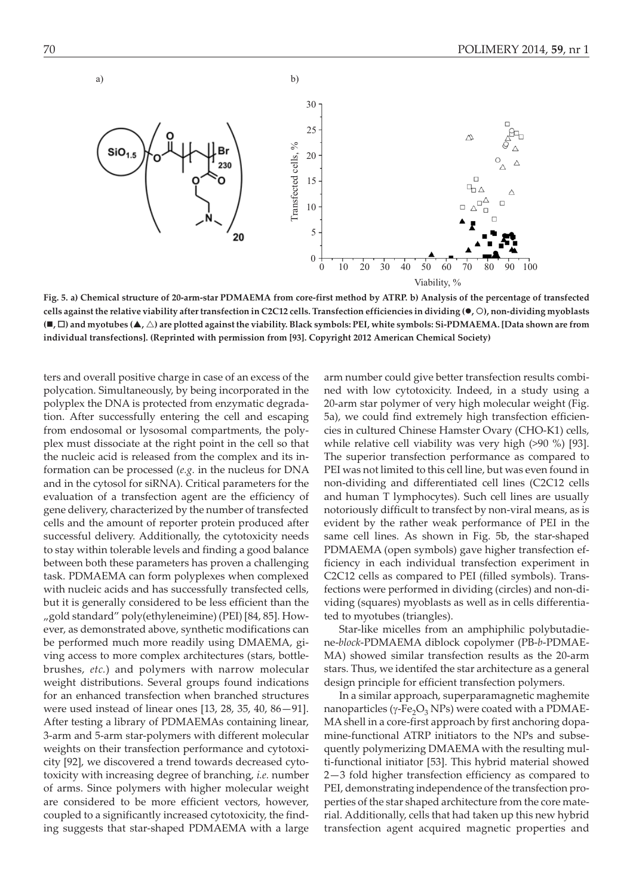

**Fig. 5. a) Chemical structure of 20-arm-star PDMAEMA from core-first method by ATRP. b) Analysis of the percentage of transfected cells against the relative viability after transfection in C2C12 cells. Transfection efficiencies in dividing (, ), non-dividing myoblasts (-, ) and myotubes (-, ) are plotted against the viability. Black symbols: PEI, white symbols: Si-PDMAEMA. [Data shown are from individual transfections]. (Reprinted with permission from [93]. Copyright 2012 American Chemical Society)**

ters and overall positive charge in case of an excess of the polycation. Simultaneously, by being incorporated in the polyplex the DNA is protected from enzymatic degradation. After successfully entering the cell and escaping from endosomal or lysosomal compartments, the polyplex must dissociate at the right point in the cell so that the nucleic acid is released from the complex and its information can be processed (*e.g.* in the nucleus for DNA and in the cytosol for siRNA). Critical parameters for the evaluation of a transfection agent are the efficiency of gene delivery, characterized by the number of transfected cells and the amount of reporter protein produced after successful delivery. Additionally, the cytotoxicity needs to stay within tolerable levels and finding a good balance between both these parameters has proven a challenging task. PDMAEMA can form polyplexes when complexed with nucleic acids and has successfully transfected cells, but it is generally considered to be less efficient than the "gold standard" poly(ethyleneimine) (PEI) [84, 85]. However, as demonstrated above, synthetic modifications can be performed much more readily using DMAEMA, giving access to more complex architectures (stars, bottlebrushes, *etc.*) and polymers with narrow molecular weight distributions. Several groups found indications for an enhanced transfection when branched structures were used instead of linear ones [13, 28, 35, 40, 86—91]. After testing a library of PDMAEMAs containing linear, 3-arm and 5-arm star-polymers with different molecular weights on their transfection performance and cytotoxicity [92], we discovered a trend towards decreased cytotoxicity with increasing degree of branching, *i.e.* number of arms. Since polymers with higher molecular weight are considered to be more efficient vectors, however, coupled to a significantly increased cytotoxicity, the finding suggests that star-shaped PDMAEMA with a large

arm number could give better transfection results combined with low cytotoxicity. Indeed, in a study using a 20-arm star polymer of very high molecular weight (Fig. 5a), we could find extremely high transfection efficiencies in cultured Chinese Hamster Ovary (CHO-K1) cells, while relative cell viability was very high (>90 %) [93]. The superior transfection performance as compared to PEI was not limited to this cell line, but was even found in non-dividing and differentiated cell lines (C2C12 cells and human T lymphocytes). Such cell lines are usually notoriously difficult to transfect by non-viral means, as is evident by the rather weak performance of PEI in the same cell lines. As shown in Fig. 5b, the star-shaped PDMAEMA (open symbols) gave higher transfection efficiency in each individual transfection experiment in C2C12 cells as compared to PEI (filled symbols). Transfections were performed in dividing (circles) and non-dividing (squares) myoblasts as well as in cells differentiated to myotubes (triangles).

Star-like micelles from an amphiphilic polybutadiene-*block*-PDMAEMA diblock copolymer (PB-*b*-PDMAE-MA) showed similar transfection results as the 20-arm stars. Thus, we identifed the star architecture as a general design principle for efficient transfection polymers.

In a similar approach, superparamagnetic maghemite nanoparticles ( $\gamma$ -Fe<sub>2</sub>O<sub>3</sub> NPs) were coated with a PDMAE-MA shell in a core-first approach by first anchoring dopamine-functional ATRP initiators to the NPs and subsequently polymerizing DMAEMA with the resulting multi-functional initiator [53]. This hybrid material showed 2—3 fold higher transfection efficiency as compared to PEI, demonstrating independence of the transfection properties of the star shaped architecture from the core material. Additionally, cells that had taken up this new hybrid transfection agent acquired magnetic properties and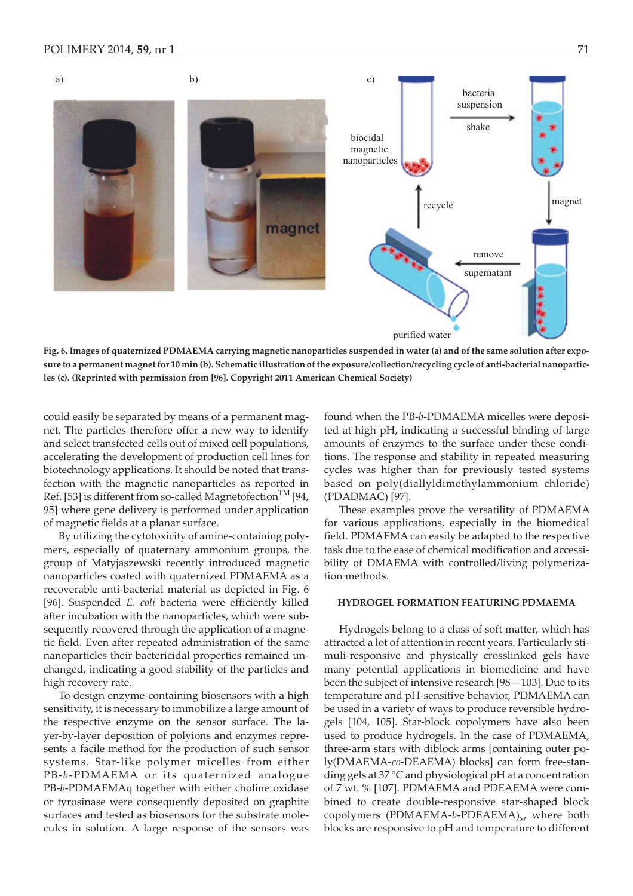

**Fig. 6. Images of quaternized PDMAEMA carrying magnetic nanoparticles suspended in water (a) and of the same solution after exposure to a permanent magnet for 10 min (b). Schematic illustration of the exposure/collection/recycling cycle of anti-bacterial nanoparticles (c). (Reprinted with permission from [96]. Copyright 2011 American Chemical Society)**

could easily be separated by means of a permanent magnet. The particles therefore offer a new way to identify and select transfected cells out of mixed cell populations, accelerating the development of production cell lines for biotechnology applications. It should be noted that transfection with the magnetic nanoparticles as reported in Ref. [53] is different from so-called Magnetofection<sup>TM</sup> [94, 95] where gene delivery is performed under application of magnetic fields at a planar surface.

By utilizing the cytotoxicity of amine-containing polymers, especially of quaternary ammonium groups, the group of Matyjaszewski recently introduced magnetic nanoparticles coated with quaternized PDMAEMA as a recoverable anti-bacterial material as depicted in Fig. 6 [96]. Suspended *E. coli* bacteria were efficiently killed after incubation with the nanoparticles, which were subsequently recovered through the application of a magnetic field. Even after repeated administration of the same nanoparticles their bactericidal properties remained unchanged, indicating a good stability of the particles and high recovery rate.

To design enzyme-containing biosensors with a high sensitivity, it is necessary to immobilize a large amount of the respective enzyme on the sensor surface. The layer-by-layer deposition of polyions and enzymes represents a facile method for the production of such sensor systems. Star-like polymer micelles from either PB-*b*-PDMAEMA or its quaternized analogue PB-*b*-PDMAEMAq together with either choline oxidase or tyrosinase were consequently deposited on graphite surfaces and tested as biosensors for the substrate molecules in solution. A large response of the sensors was

found when the PB-*b*-PDMAEMA micelles were deposited at high pH, indicating a successful binding of large amounts of enzymes to the surface under these conditions. The response and stability in repeated measuring cycles was higher than for previously tested systems based on poly(diallyldimethylammonium chloride) (PDADMAC) [97].

These examples prove the versatility of PDMAEMA for various applications, especially in the biomedical field. PDMAEMA can easily be adapted to the respective task due to the ease of chemical modification and accessibility of DMAEMA with controlled/living polymerization methods.

### **HYDROGEL FORMATION FEATURING PDMAEMA**

Hydrogels belong to a class of soft matter, which has attracted a lot of attention in recent years. Particularly stimuli-responsive and physically crosslinked gels have many potential applications in biomedicine and have been the subject of intensive research [98—103]. Due to its temperature and pH-sensitive behavior, PDMAEMA can be used in a variety of ways to produce reversible hydrogels [104, 105]. Star-block copolymers have also been used to produce hydrogels. In the case of PDMAEMA, three-arm stars with diblock arms [containing outer poly(DMAEMA-*co*-DEAEMA) blocks] can form free-standing gels at 37 °C and physiological pH at a concentration of 7 wt. % [107]. PDMAEMA and PDEAEMA were combined to create double-responsive star-shaped block copolymers (PDMAEMA-b-PDEAEMA)<sub>x</sub>, where both blocks are responsive to pH and temperature to different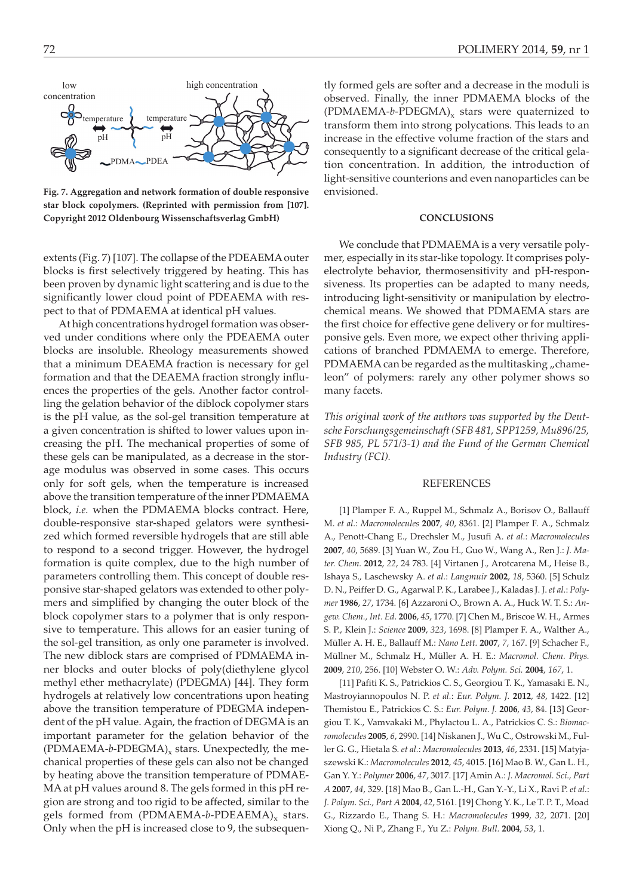temperature pH low high concentration concentration PDMAPDEA emperature pH

**Fig. 7. Aggregation and network formation of double responsive star block copolymers. (Reprinted with permission from [107]. Copyright 2012 Oldenbourg Wissenschaftsverlag GmbH)**

extents (Fig. 7) [107]. The collapse of the PDEAEMA outer blocks is first selectively triggered by heating. This has been proven by dynamic light scattering and is due to the significantly lower cloud point of PDEAEMA with respect to that of PDMAEMA at identical pH values.

At high concentrations hydrogel formation was observed under conditions where only the PDEAEMA outer blocks are insoluble. Rheology measurements showed that a minimum DEAEMA fraction is necessary for gel formation and that the DEAEMA fraction strongly influences the properties of the gels. Another factor controlling the gelation behavior of the diblock copolymer stars is the pH value, as the sol-gel transition temperature at a given concentration is shifted to lower values upon increasing the pH. The mechanical properties of some of these gels can be manipulated, as a decrease in the storage modulus was observed in some cases. This occurs only for soft gels, when the temperature is increased above the transition temperature of the inner PDMAEMA block, *i.e.* when the PDMAEMA blocks contract. Here, double-responsive star-shaped gelators were synthesized which formed reversible hydrogels that are still able to respond to a second trigger. However, the hydrogel formation is quite complex, due to the high number of parameters controlling them. This concept of double responsive star-shaped gelators was extended to other polymers and simplified by changing the outer block of the block copolymer stars to a polymer that is only responsive to temperature. This allows for an easier tuning of the sol-gel transition, as only one parameter is involved. The new diblock stars are comprised of PDMAEMA inner blocks and outer blocks of poly(diethylene glycol methyl ether methacrylate) (PDEGMA) [44]. They form hydrogels at relatively low concentrations upon heating above the transition temperature of PDEGMA independent of the pH value. Again, the fraction of DEGMA is an important parameter for the gelation behavior of the  $(PDMAEMA-b-PDEGMA)_x$  stars. Unexpectedly, the mechanical properties of these gels can also not be changed by heating above the transition temperature of PDMAE-MA at pH values around 8. The gels formed in this pH region are strong and too rigid to be affected, similar to the gels formed from (PDMAEMA-b-PDEAEMA)<sub>x</sub> stars. Only when the pH is increased close to 9, the subsequen-

tly formed gels are softer and a decrease in the moduli is observed. Finally, the inner PDMAEMA blocks of the (PDMAEMA- $b$ -PDEGMA)<sub>x</sub> stars were quaternized to transform them into strong polycations. This leads to an increase in the effective volume fraction of the stars and consequently to a significant decrease of the critical gelation concentration. In addition, the introduction of light-sensitive counterions and even nanoparticles can be envisioned.

#### **CONCLUSIONS**

We conclude that PDMAEMA is a very versatile polymer, especially in its star-like topology. It comprises polyelectrolyte behavior, thermosensitivity and pH-responsiveness. Its properties can be adapted to many needs, introducing light-sensitivity or manipulation by electrochemical means. We showed that PDMAEMA stars are the first choice for effective gene delivery or for multiresponsive gels. Even more, we expect other thriving applications of branched PDMAEMA to emerge. Therefore, PDMAEMA can be regarded as the multitasking "chameleon" of polymers: rarely any other polymer shows so many facets.

*This original work of the authors was supported by the Deutsche Forschungsgemeinschaft (SFB 481, SPP1259, Mu896/25, SFB 985, PL 571/3-1) and the Fund of the German Chemical Industry (FCI).*

#### REFERENCES

[1] Plamper F. A., Ruppel M., Schmalz A., Borisov O., Ballauff M. *et al.*: *Macromolecules* **2007**, *40*, 8361. [2] Plamper F. A., Schmalz A., Penott-Chang E., Drechsler M., Jusufi A. *et al.*: *Macromolecules* **2007**, *40*, 5689. [3] Yuan W., Zou H., Guo W., Wang A., Ren J.: *J. Mater. Chem.* **2012**, *22*, 24 783. [4] Virtanen J., Arotcarena M., Heise B., Ishaya S., Laschewsky A. *et al.*: *Langmuir* **2002**, *18*, 5360. [5] Schulz D. N., Peiffer D. G., Agarwal P. K., Larabee J., Kaladas J. J.*et al.*: *Polymer* **1986**, *27*, 1734. [6] Azzaroni O., Brown A. A., Huck W. T. S.: *Angew. Chem., Int. Ed.* **2006**, *45*, 1770. [7] Chen M., Briscoe W. H., Armes S. P., Klein J.: *Science* **2009**, *323*, 1698. [8] Plamper F. A., Walther A., Müller A. H. E., Ballauff M.: *Nano Lett.* **2007**, *7*, 167. [9] Schacher F., Müllner M., Schmalz H., Müller A. H. E.: *Macromol. Chem. Phys.* **2009**, *210*, 256. [10] Webster O. W.: *Adv. Polym. Sci.* **2004**, *167*, 1.

[11] Pafiti K. S., Patrickios C. S., Georgiou T. K., Yamasaki E. N., Mastroyiannopoulos N. P. *et al.*: *Eur. Polym. J.* **2012**, *48*, 1422. [12] Themistou E., Patrickios C. S.: *Eur. Polym. J.* **2006**, *43*, 84. [13] Georgiou T. K., Vamvakaki M., Phylactou L. A., Patrickios C. S.: *Biomacromolecules* **2005**, *6*, 2990. [14] Niskanen J., Wu C., Ostrowski M., Fuller G. G., Hietala S. *et al.*: *Macromolecules* **2013**, *46*, 2331. [15] Matyjaszewski K.: *Macromolecules* **2012**, *45*, 4015. [16] Mao B. W., Gan L. H., Gan Y. Y.: *Polymer* **2006**, *47*, 3017. [17] Amin A.: *J. Macromol. Sci., Part A* **2007**, *44*, 329. [18] Mao B., Gan L.-H., Gan Y.-Y., Li X., Ravi P. *et al.*: *J. Polym. Sci., Part A* **2004**, *42*, 5161. [19] Chong Y. K., Le T. P. T., Moad G., Rizzardo E., Thang S. H.: *Macromolecules* **1999**, *32*, 2071. [20] Xiong Q., Ni P., Zhang F., Yu Z.: *Polym. Bull.* **2004**, *53*, 1.